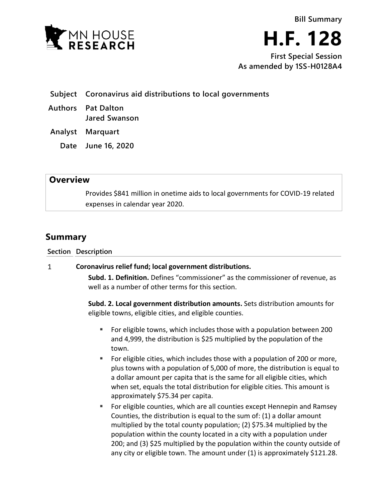



**First Special Session As amended by 1SS-H0128A4**

- **Subject Coronavirus aid distributions to local governments**
- **Authors Pat Dalton Jared Swanson**

**Analyst Marquart**

**Date June 16, 2020**

## **Overview**

Provides \$841 million in onetime aids to local governments for COVID-19 related expenses in calendar year 2020.

## **Summary**

**Section Description**

## **Coronavirus relief fund; local government distributions.**  $\mathbf{1}$

**Subd. 1. Definition.** Defines "commissioner" as the commissioner of revenue, as well as a number of other terms for this section.

**Subd. 2. Local government distribution amounts.** Sets distribution amounts for eligible towns, eligible cities, and eligible counties.

- For eligible towns, which includes those with a population between 200 and 4,999, the distribution is \$25 multiplied by the population of the town.
- For eligible cities, which includes those with a population of 200 or more, plus towns with a population of 5,000 of more, the distribution is equal to a dollar amount per capita that is the same for all eligible cities, which when set, equals the total distribution for eligible cities. This amount is approximately \$75.34 per capita.
- For eligible counties, which are all counties except Hennepin and Ramsey Counties, the distribution is equal to the sum of: (1) a dollar amount multiplied by the total county population; (2) \$75.34 multiplied by the population within the county located in a city with a population under 200; and (3) \$25 multiplied by the population within the county outside of any city or eligible town. The amount under (1) is approximately \$121.28.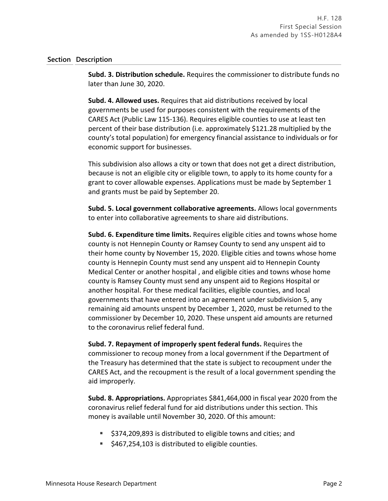## **Section Description**

**Subd. 3. Distribution schedule.** Requires the commissioner to distribute funds no later than June 30, 2020.

**Subd. 4. Allowed uses.** Requires that aid distributions received by local governments be used for purposes consistent with the requirements of the CARES Act (Public Law 115-136). Requires eligible counties to use at least ten percent of their base distribution (i.e. approximately \$121.28 multiplied by the county's total population) for emergency financial assistance to individuals or for economic support for businesses.

This subdivision also allows a city or town that does not get a direct distribution, because is not an eligible city or eligible town, to apply to its home county for a grant to cover allowable expenses. Applications must be made by September 1 and grants must be paid by September 20.

**Subd. 5. Local government collaborative agreements.** Allows local governments to enter into collaborative agreements to share aid distributions.

**Subd. 6. Expenditure time limits.** Requires eligible cities and towns whose home county is not Hennepin County or Ramsey County to send any unspent aid to their home county by November 15, 2020. Eligible cities and towns whose home county is Hennepin County must send any unspent aid to Hennepin County Medical Center or another hospital , and eligible cities and towns whose home county is Ramsey County must send any unspent aid to Regions Hospital or another hospital. For these medical facilities, eligible counties, and local governments that have entered into an agreement under subdivision 5, any remaining aid amounts unspent by December 1, 2020, must be returned to the commissioner by December 10, 2020. These unspent aid amounts are returned to the coronavirus relief federal fund.

**Subd. 7. Repayment of improperly spent federal funds.** Requires the commissioner to recoup money from a local government if the Department of the Treasury has determined that the state is subject to recoupment under the CARES Act, and the recoupment is the result of a local government spending the aid improperly.

**Subd. 8. Appropriations.** Appropriates \$841,464,000 in fiscal year 2020 from the coronavirus relief federal fund for aid distributions under this section. This money is available until November 30, 2020. Of this amount:

- \$374,209,893 is distributed to eligible towns and cities; and
- $\blacktriangleright$  \$467,254,103 is distributed to eligible counties.